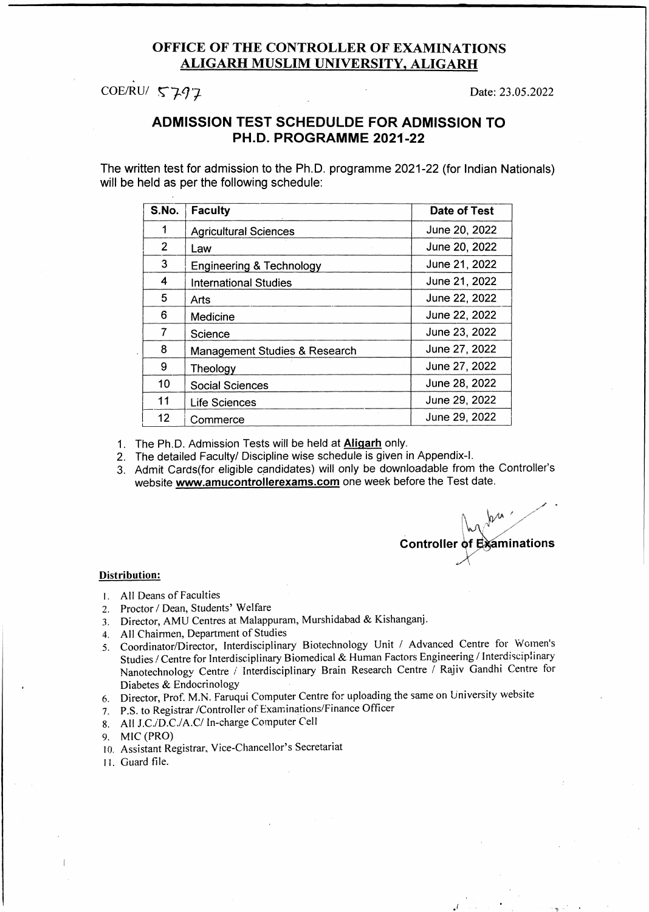#### **OFFICE OF THE CONTROLLER OF EXAMINATIONS A L IG A R H M U SLIM U N IV E R SIT Y . A L IG A R H**

COE/RU/  $\sqrt{27} - 7$  Date: 23.05.2022

#### **ADMISSION TEST SCHEDULDE FOR ADMISSION TO PH.D. PROGRAMME 2021-22**

**The written test for admission to the Ph.D. programme 2021-22 (for Indian Nationals) will be held as per the following schedule:**

| S.No.          | <b>Faculty</b>                      | Date of Test  |
|----------------|-------------------------------------|---------------|
| 1              | <b>Agricultural Sciences</b>        | June 20, 2022 |
| $\overline{2}$ | Law                                 | June 20, 2022 |
| 3              | <b>Engineering &amp; Technology</b> | June 21, 2022 |
| 4              | <b>International Studies</b>        | June 21, 2022 |
| 5              | Arts                                | June 22, 2022 |
| 6              | Medicine                            | June 22, 2022 |
| 7              | Science                             | June 23, 2022 |
| 8              | Management Studies & Research       | June 27, 2022 |
| 9              | Theology                            | June 27, 2022 |
| 10             | <b>Social Sciences</b>              | June 28, 2022 |
| 11             | <b>Life Sciences</b>                | June 29, 2022 |
| 12             | Commerce                            | June 29, 2022 |

**1**. The Ph.D. Admission Tests will be held at **Aligarh** only.

- 2. The detailed Faculty/ Discipline wise schedule is given in Appendix-I.
- 3. Admit Cards(for eligible candidates) will only be downloadable from the Controller's website **[www.amucontrollerexams.com](http://www.amucontrollerexams.com)** one week before the Test date.

*y* \*  $\bigwedge_{\alpha\in\mathbb{Z}}\mathcal{V}^{\omega}$ Controller of Examinations

*J*

#### **Distribution:**

- 1. All Deans of Faculties
- 2. Proctor / Dean, Students' Welfare
- 3. Director, AMU Centres at Malappuram, Murshidabad & Kishanganj.
- 4. All Chairmen, Department of Studies
- 5. Coordinator/Director, Interdisciplinary Biotechnology Unit / Advanced Centre for Women's Studies / Centre for Interdisciplinary Biomedical & Human Factors Engineering / Interdisciplinary Nanotechnology Centre / Interdisciplinary Brain Research Centre / Rajiv Gandhi Centre for Diabetes & Endocrinology
- 6. Director, Prof. M.N. Faruqui Computer Centre for uploading the same on University website
- 7. P.S. to Registrar /Controller of Examinations/Finance Officer
- 8. All J.C./D.C./A.C/ In-charge Computer Cel!
- 9. MIC (PRO)
- 10. Assistant Registrar, Vice-Chancellor's Secretariat
- 11. Guard file.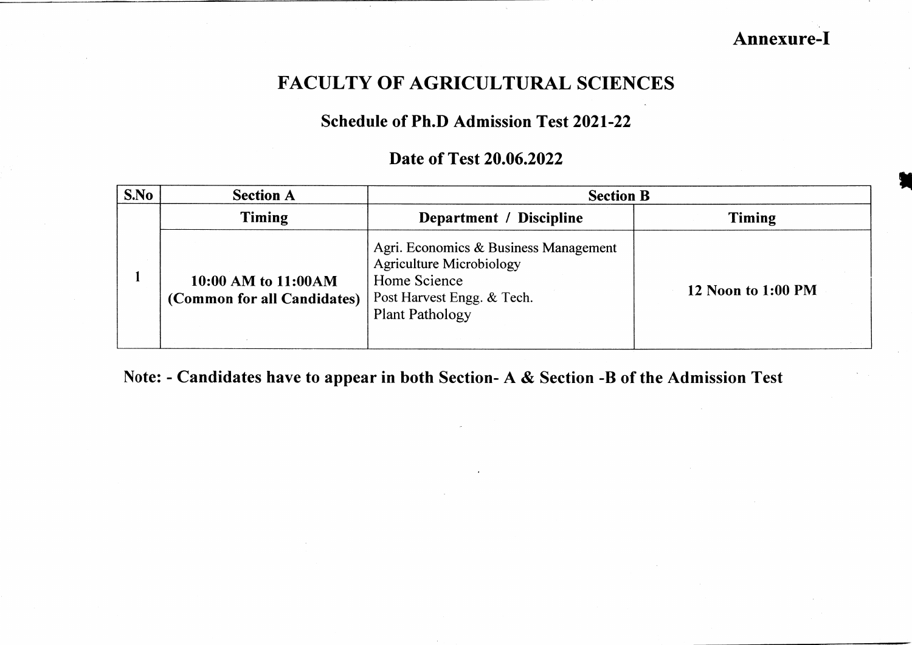**Annexure-I**

### **FACULTY OF AGRICULTURAL SCIENCES**

### **Schedule of Ph.D Admission Test 2021-22**

#### **Date of Test 20.06.2022**

| S.No | <b>Section A</b>                                    | <b>Section B</b>                                                                                                                                 |                    |
|------|-----------------------------------------------------|--------------------------------------------------------------------------------------------------------------------------------------------------|--------------------|
|      | Timing                                              | Department / Discipline                                                                                                                          | <b>Timing</b>      |
|      | 10:00 AM to 11:00 AM<br>(Common for all Candidates) | Agri. Economics & Business Management<br><b>Agriculture Microbiology</b><br>Home Science<br>Post Harvest Engg. & Tech.<br><b>Plant Pathology</b> | 12 Noon to 1:00 PM |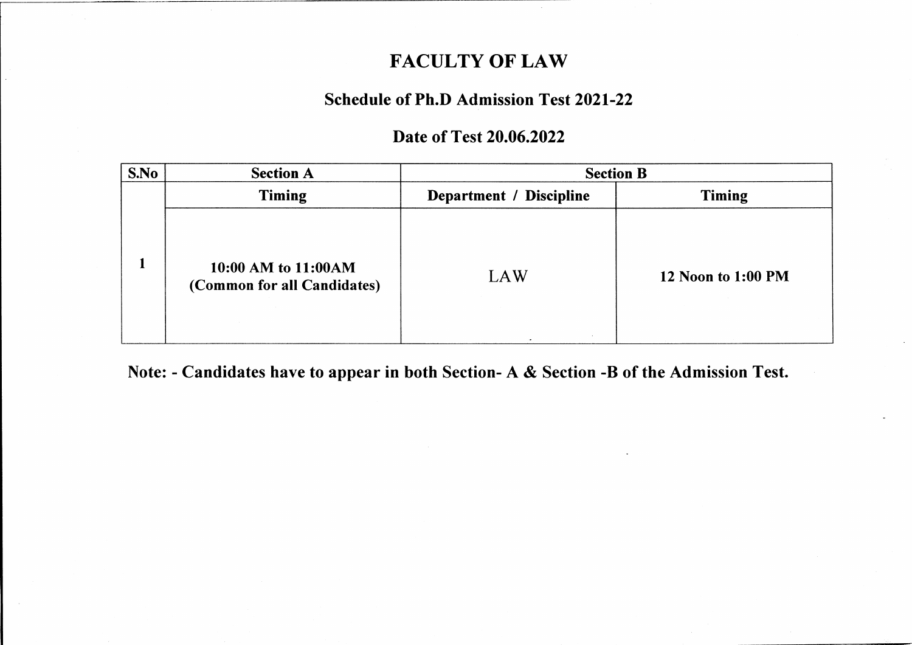### **FACULTY OF LAW**

### **Schedule of Ph.D Admission Test 2021-22**

#### **Date of Test 20.06.2022**

| S.No | <b>Section A</b>                                    | <b>Section B</b>        |                           |
|------|-----------------------------------------------------|-------------------------|---------------------------|
|      | <b>Timing</b>                                       | Department / Discipline | <b>Timing</b>             |
|      | 10:00 AM to 11:00 AM<br>(Common for all Candidates) | LAW                     | <b>12 Noon to 1:00 PM</b> |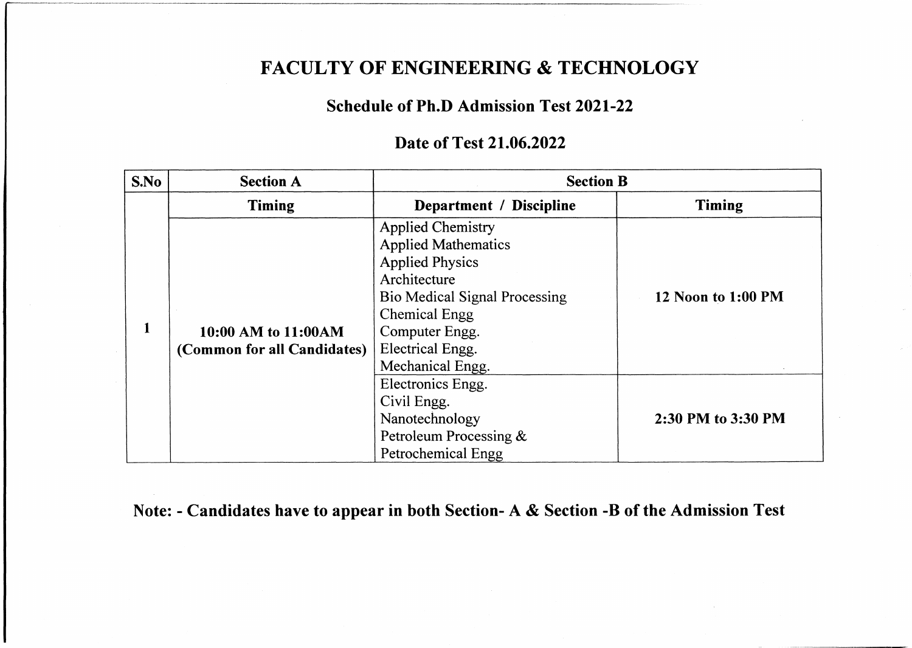### **FACULTY OF ENGINEERING & TECHNOLOGY**

#### **Schedule of Ph.D Admission Test 2021-22**

#### **Date of Test 21.06.2022**

| S.No | <b>Section A</b>                                   | <b>Section B</b>                                                                                                                                                                                                           |                    |
|------|----------------------------------------------------|----------------------------------------------------------------------------------------------------------------------------------------------------------------------------------------------------------------------------|--------------------|
|      | <b>Timing</b>                                      | Department / Discipline                                                                                                                                                                                                    | <b>Timing</b>      |
| 1    | 10:00 AM to 11:00AM<br>(Common for all Candidates) | <b>Applied Chemistry</b><br><b>Applied Mathematics</b><br><b>Applied Physics</b><br>Architecture<br><b>Bio Medical Signal Processing</b><br><b>Chemical Engg</b><br>Computer Engg.<br>Electrical Engg.<br>Mechanical Engg. | 12 Noon to 1:00 PM |
|      |                                                    | Electronics Engg.<br>Civil Engg.<br>Nanotechnology<br>Petroleum Processing &<br>Petrochemical Engg                                                                                                                         | 2:30 PM to 3:30 PM |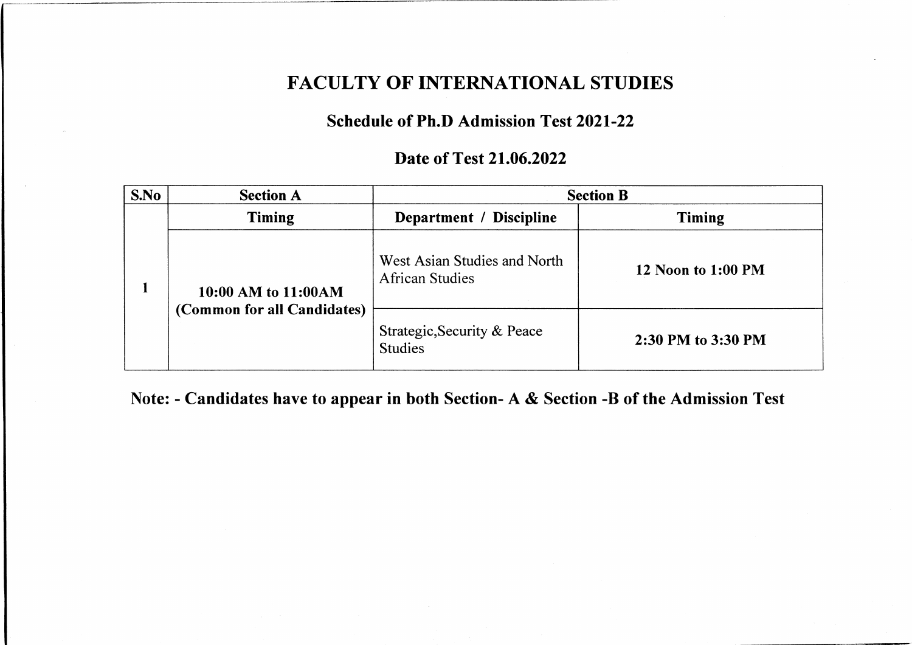### **FACULTY OF INTERNATIONAL STUDIES**

### **Schedule of Ph.D Admission Test 2021-22**

#### **Date of Test 21.06.2022**

| S.No | <b>Section A</b>                                    |                                                        | <b>Section B</b>   |
|------|-----------------------------------------------------|--------------------------------------------------------|--------------------|
|      | <b>Timing</b>                                       | Department / Discipline                                | <b>Timing</b>      |
|      | 10:00 AM to 11:00 AM<br>(Common for all Candidates) | West Asian Studies and North<br><b>African Studies</b> | 12 Noon to 1:00 PM |
|      |                                                     | Strategic, Security & Peace<br><b>Studies</b>          | 2:30 PM to 3:30 PM |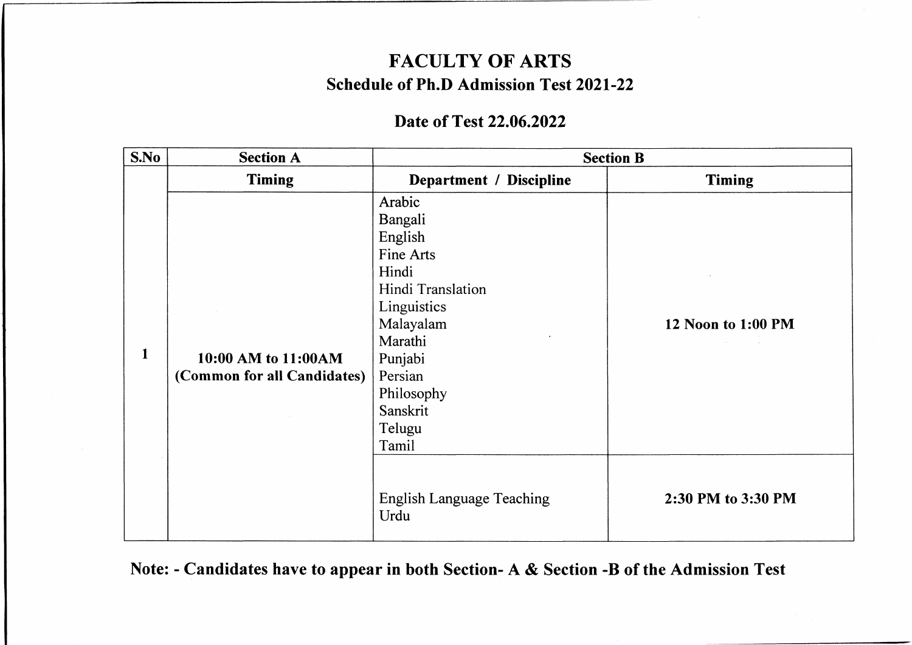## **FACULTY OF ARTS Schedule of Ph.D Admission Test 2021-22**

### **Date of Test 22.06.2022**

| S.No | <b>Section A</b>                                    |                                                                                                                                                                                   | <b>Section B</b>   |
|------|-----------------------------------------------------|-----------------------------------------------------------------------------------------------------------------------------------------------------------------------------------|--------------------|
|      | <b>Timing</b>                                       | Department / Discipline                                                                                                                                                           | <b>Timing</b>      |
| 1    | 10:00 AM to 11:00 AM<br>(Common for all Candidates) | Arabic<br>Bangali<br>English<br>Fine Arts<br>Hindi<br>Hindi Translation<br>Linguistics<br>Malayalam<br>Marathi<br>Punjabi<br>Persian<br>Philosophy<br>Sanskrit<br>Telugu<br>Tamil | 12 Noon to 1:00 PM |
|      |                                                     | <b>English Language Teaching</b><br>Urdu                                                                                                                                          | 2:30 PM to 3:30 PM |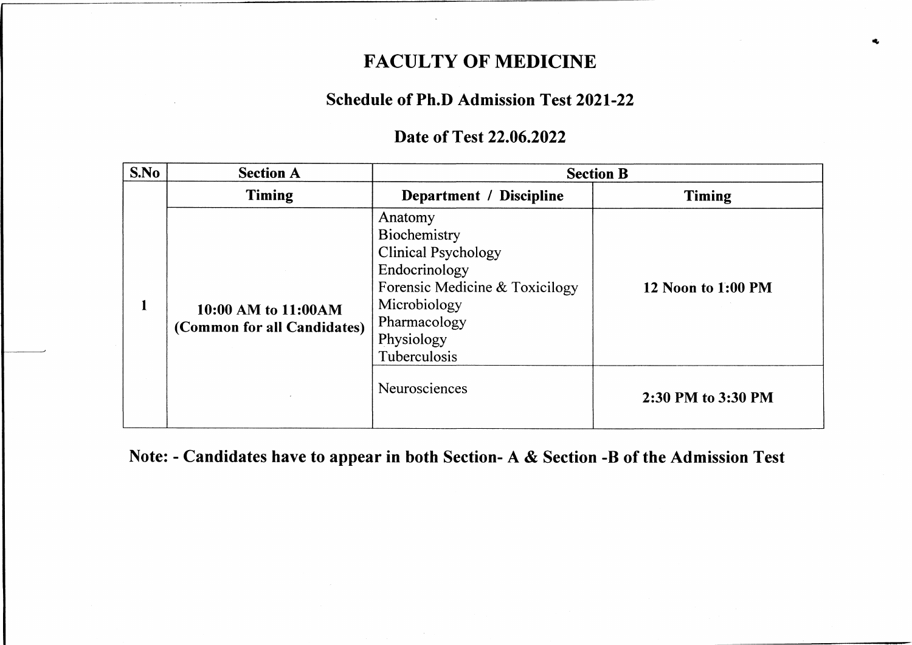### **FACULTY OF MEDICINE**

### **Schedule of Ph.D Admission Test 2021-22**

#### **Date of Test 22.06.2022**

| S.No | <b>Section A</b>                                    |                                                                                                                                                                        | <b>Section B</b>          |
|------|-----------------------------------------------------|------------------------------------------------------------------------------------------------------------------------------------------------------------------------|---------------------------|
|      | <b>Timing</b>                                       | Department / Discipline                                                                                                                                                | Timing                    |
| 1    | 10:00 AM to 11:00 AM<br>(Common for all Candidates) | Anatomy<br>Biochemistry<br><b>Clinical Psychology</b><br>Endocrinology<br>Forensic Medicine & Toxicilogy<br>Microbiology<br>Pharmacology<br>Physiology<br>Tuberculosis | <b>12 Noon to 1:00 PM</b> |
|      |                                                     | Neurosciences                                                                                                                                                          | 2:30 PM to 3:30 PM        |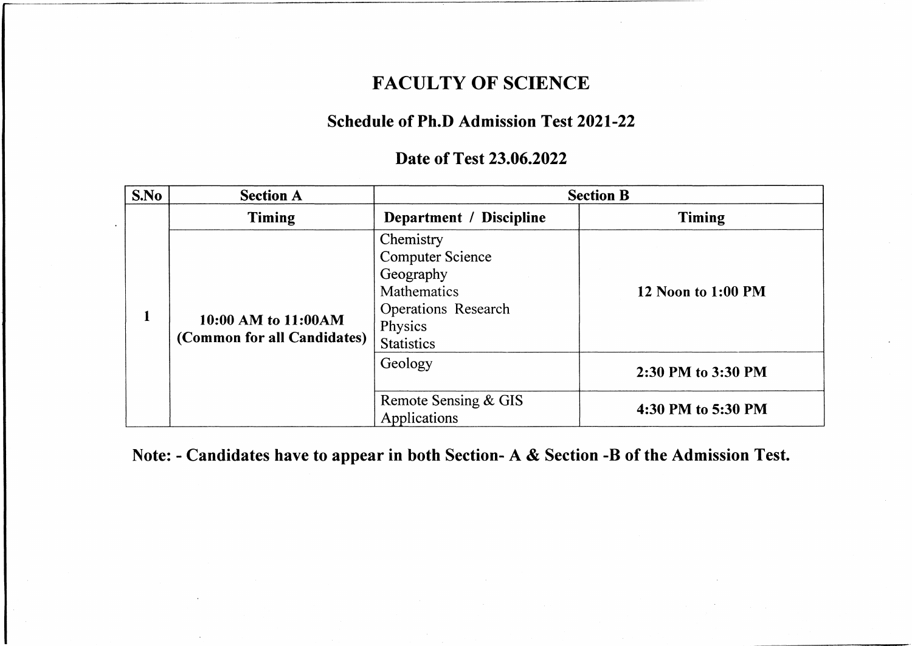### **FACULTY OF SCIENCE**

### **Schedule of Ph.D Admission Test 2021-22**

#### **Date of Test 23.06.2022**

| S.No | <b>Section A</b>                                   |                                                                                                                                | <b>Section B</b>   |
|------|----------------------------------------------------|--------------------------------------------------------------------------------------------------------------------------------|--------------------|
|      | <b>Timing</b>                                      | Department / Discipline                                                                                                        | Timing             |
| 1    | 10:00 AM to 11:00AM<br>(Common for all Candidates) | Chemistry<br><b>Computer Science</b><br>Geography<br>Mathematics<br><b>Operations Research</b><br>Physics<br><b>Statistics</b> | 12 Noon to 1:00 PM |
|      |                                                    | Geology                                                                                                                        | 2:30 PM to 3:30 PM |
|      |                                                    | Remote Sensing & GIS<br>Applications                                                                                           | 4:30 PM to 5:30 PM |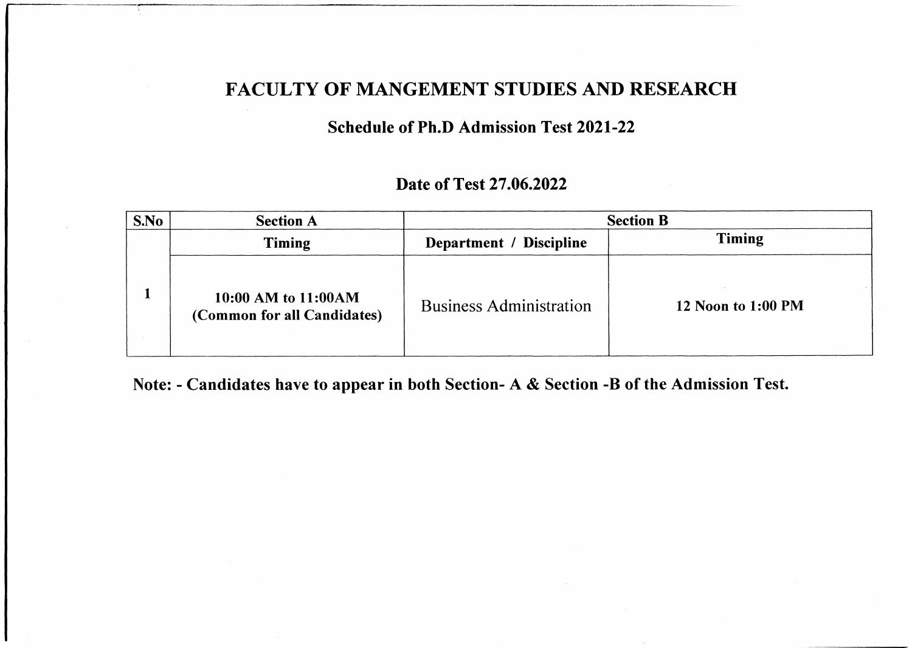### **FACULTY OF MANGEMENT STUDIES AND RESEARCH**

#### **Schedule of Ph.D Admission Test 2021-22**

### **Date of Test 27.06.2022**

| S.No | <b>Section A</b>                                   | <b>Section B</b>               |                    |
|------|----------------------------------------------------|--------------------------------|--------------------|
|      | Timing                                             | Department / Discipline        | <b>Timing</b>      |
|      | 10:00 AM to 11:00AM<br>(Common for all Candidates) | <b>Business Administration</b> | 12 Noon to 1:00 PM |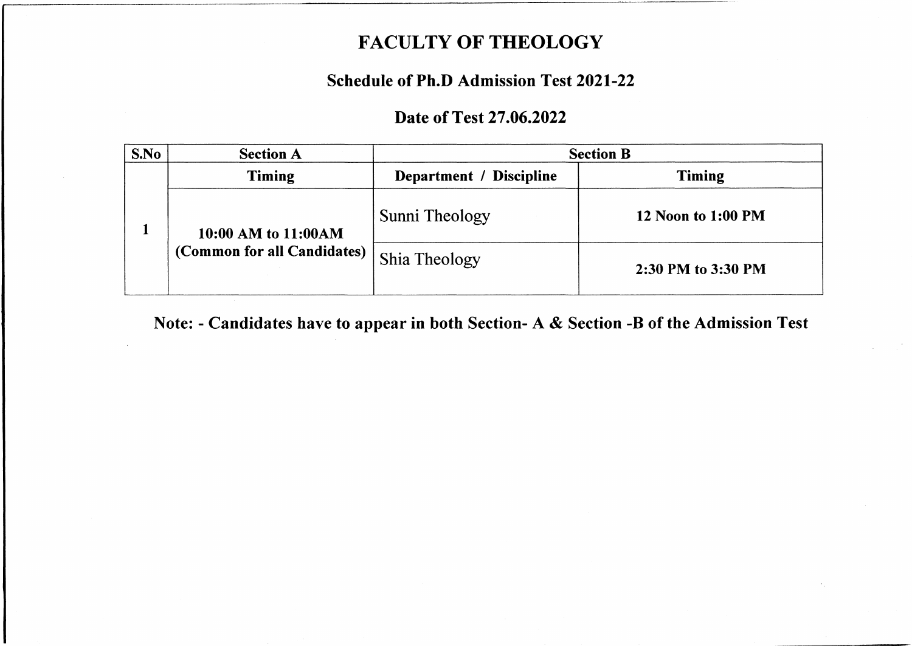# **FACULTY OF THEOLOGY**

### **Schedule of Ph.D Admission Test 2021-22**

### **Date of Test 27.06.2022**

| S.No | <b>Section A</b>                                    | <b>Section B</b>        |                    |
|------|-----------------------------------------------------|-------------------------|--------------------|
|      | Timing                                              | Department / Discipline | <b>Timing</b>      |
|      | 10:00 AM to 11:00 AM<br>(Common for all Candidates) | Sunni Theology          | 12 Noon to 1:00 PM |
|      |                                                     | <b>Shia Theology</b>    | 2:30 PM to 3:30 PM |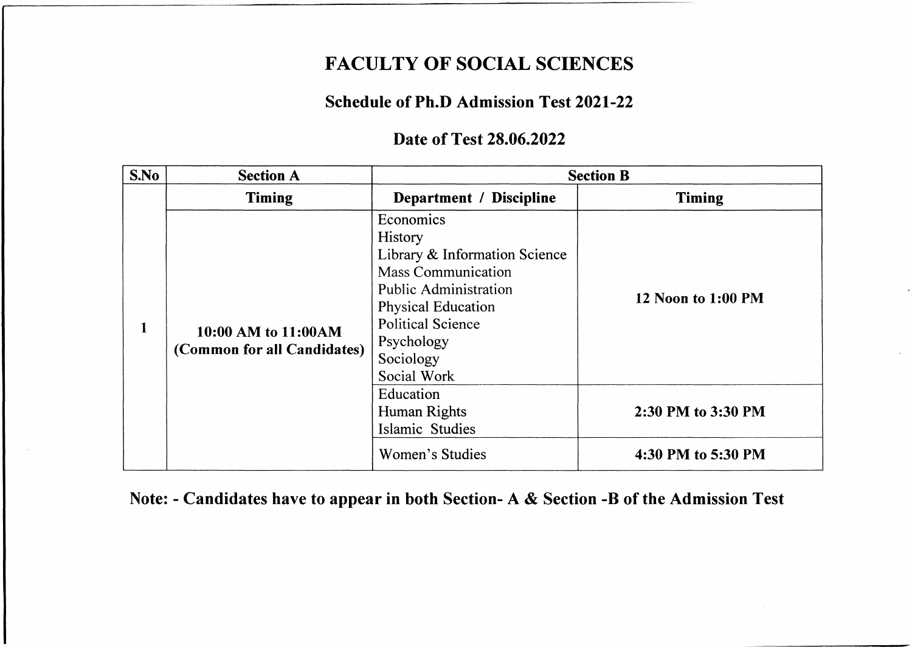## **FACULTY OF SOCIAL SCIENCES**

#### **Schedule of Ph.D Admission Test 2021-22**

### **Date of Test 28.06.2022**

| S.No | <b>Section A</b>                                    |                                                                                                                                                                                                                              | <b>Section B</b>     |
|------|-----------------------------------------------------|------------------------------------------------------------------------------------------------------------------------------------------------------------------------------------------------------------------------------|----------------------|
|      | <b>Timing</b>                                       | Department / Discipline                                                                                                                                                                                                      | <b>Timing</b>        |
| 1    | 10:00 AM to 11:00 AM<br>(Common for all Candidates) | Economics<br><b>History</b><br>Library & Information Science<br><b>Mass Communication</b><br><b>Public Administration</b><br><b>Physical Education</b><br><b>Political Science</b><br>Psychology<br>Sociology<br>Social Work | 12 Noon to $1:00$ PM |
|      |                                                     | Education<br>Human Rights<br><b>Islamic Studies</b>                                                                                                                                                                          | 2:30 PM to 3:30 PM   |
|      |                                                     | Women's Studies                                                                                                                                                                                                              | 4:30 PM to 5:30 PM   |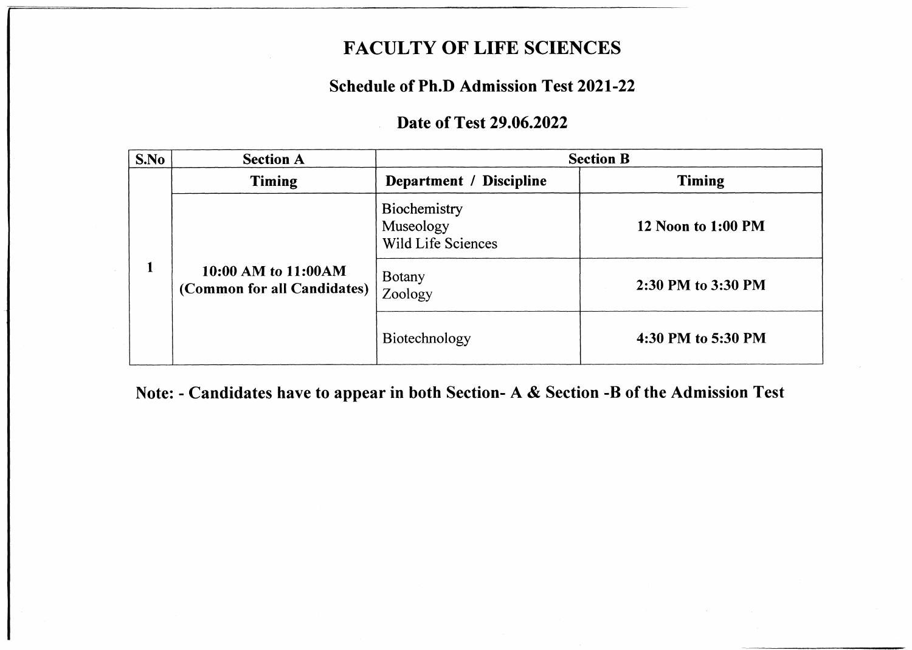## **FACULTY OF LIFE SCIENCES**

### **Schedule of Ph.D Admission Test 2021-22**

### **Date of Test 29.06.2022**

| S.No | <b>Section A</b>                                   | <b>Section B</b>                                |                    |
|------|----------------------------------------------------|-------------------------------------------------|--------------------|
|      | <b>Timing</b>                                      | Department / Discipline                         | <b>Timing</b>      |
|      | 10:00 AM to 11:00AM<br>(Common for all Candidates) | Biochemistry<br>Museology<br>Wild Life Sciences | 12 Noon to 1:00 PM |
|      |                                                    | <b>Botany</b><br>Zoology                        | 2:30 PM to 3:30 PM |
|      |                                                    | Biotechnology                                   | 4:30 PM to 5:30 PM |